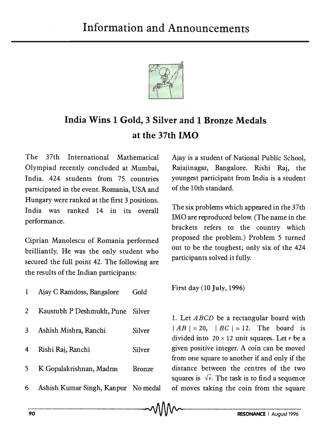

## **India Wins 1 Gold, 3 Silver and 1 Bronze Medals at the 37th IMO**

The 37th International Mathematical Olympiad recently concluded at Mumbai, India. 424 students from 75 countries participated in the event. Romania, USA and Hungary were ranked at the first 3 positions. India was ranked 14 in its overall performance.

Ciprian Manolescu of Romania performed brilliantly. He was the only student who secured the full point 42. The following are the results of the Indian participants:

| $\mathbf{1}$   | Ajay C Ramdoss, Bangalore         | Gold          |
|----------------|-----------------------------------|---------------|
| $\mathbf{2}$   | Kaustubh P Deshmukh, Pune Silver  |               |
| 3              | Ashish Mishra, Ranchi             | Silver        |
| $\overline{4}$ | Rishi Raj, Ranchi                 | Silver        |
| 5              | K Gopalakrishnan, Madras          | <b>Bronze</b> |
| 6              | Ashish Kumar Singh, Kanpur No med |               |

Ajay is a student of National Public School, Rajajinagar, Bangalore. Rishi Raj, the youngest participant from India is a student of the 10th standard.

The six problems which appeared in the 37th IMO are reproduced below. (The name in the brackets refers to the country which proposed the problem.) Problem 5 turned out to be the toughest; only six of the 424 participants solved it fully.

First day (10 July, 1996)

1. Let *A BCD* be a rectangular board with  $|AB| = 20$ ,  $|BC| = 12$ . The board is divided into  $20 \times 12$  unit squares. Let r be a given positive integer. A coin can be moved from one square to another if and only if the distance between the centres of the two squares is  $\sqrt{r}$ . The task is to find a sequence al of moves taking the coin from the square